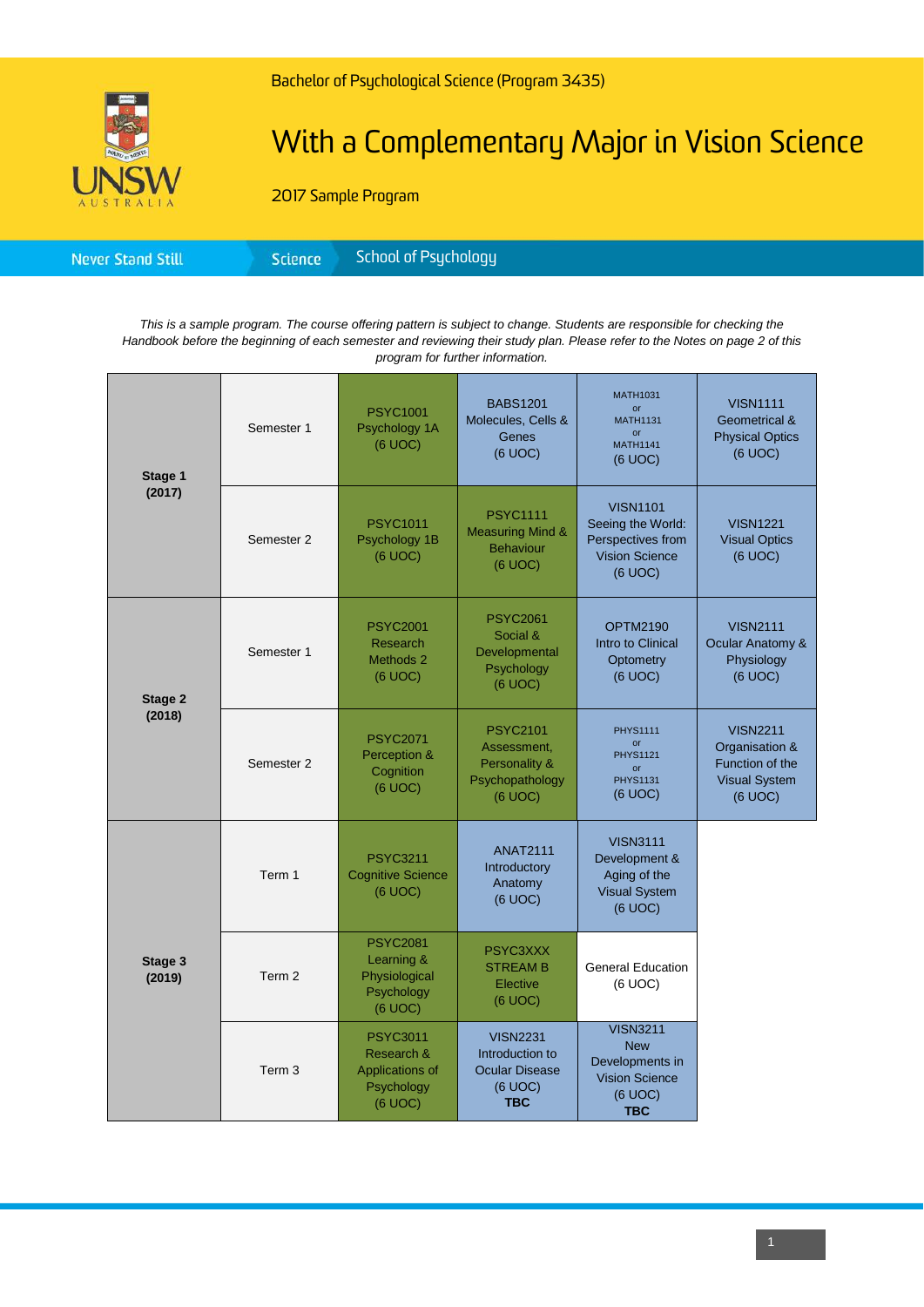

# With a Complementary Major in Vision Science

2017 Sample Program

|--|

*This is a sample program. The course offering pattern is subject to change. Students are responsible for checking the Handbook before the beginning of each semester and reviewing their study plan. Please refer to the Notes on page 2 of this program for further information.*

| Stage 1<br>(2017) | Semester 1        | <b>PSYC1001</b><br>Psychology 1A<br>(6 UOC)                               | <b>BABS1201</b><br>Molecules, Cells &<br>Genes<br>(6 UOC)                            | <b>MATH1031</b><br><b>or</b><br><b>MATH1131</b><br><b>or</b><br><b>MATH1141</b><br>(6 UOC)         | <b>VISN1111</b><br><b>Geometrical &amp;</b><br><b>Physical Optics</b><br>(6 UOC)        |
|-------------------|-------------------|---------------------------------------------------------------------------|--------------------------------------------------------------------------------------|----------------------------------------------------------------------------------------------------|-----------------------------------------------------------------------------------------|
|                   | Semester 2        | <b>PSYC1011</b><br>Psychology 1B<br>(6 UOC)                               | <b>PSYC1111</b><br><b>Measuring Mind &amp;</b><br><b>Behaviour</b><br>(6 UOC)        | <b>VISN1101</b><br>Seeing the World:<br>Perspectives from<br><b>Vision Science</b><br>(6 UOC)      | <b>VISN1221</b><br><b>Visual Optics</b><br>(6 UOC)                                      |
| Stage 2<br>(2018) | Semester 1        | <b>PSYC2001</b><br><b>Research</b><br>Methods 2<br>(6 UOC)                | <b>PSYC2061</b><br>Social &<br>Developmental<br>Psychology<br>(6 UOC)                | <b>OPTM2190</b><br>Intro to Clinical<br>Optometry<br>(6 UOC)                                       | <b>VISN2111</b><br>Ocular Anatomy &<br>Physiology<br>(6 UOC)                            |
|                   | Semester 2        | <b>PSYC2071</b><br>Perception &<br>Cognition<br>(6 UOC)                   | <b>PSYC2101</b><br>Assessment,<br>Personality &<br>Psychopathology<br>(6 UOC)        | <b>PHYS1111</b><br>or<br><b>PHYS1121</b><br>$\alpha$ r<br><b>PHYS1131</b><br>(6 UOC)               | <b>VISN2211</b><br>Organisation &<br>Function of the<br><b>Visual System</b><br>(6 UOC) |
| Stage 3<br>(2019) | Term 1            | <b>PSYC3211</b><br><b>Cognitive Science</b><br>(6 UOC)                    | <b>ANAT2111</b><br>Introductory<br>Anatomy<br>(6 UOC)                                | <b>VISN3111</b><br>Development &<br>Aging of the<br><b>Visual System</b><br>(6 UOC)                |                                                                                         |
|                   | Term <sub>2</sub> | <b>PSYC2081</b><br>Learning &<br>Physiological<br>Psychology<br>(6 UOC)   | PSYC3XXX<br><b>STREAM B</b><br>Elective<br>(6 UOC)                                   | <b>General Education</b><br>(6 UOC)                                                                |                                                                                         |
|                   | Term <sub>3</sub> | <b>PSYC3011</b><br>Research &<br>Applications of<br>Psychology<br>(6 UOC) | <b>VISN2231</b><br>Introduction to<br><b>Ocular Disease</b><br>(6 UOC)<br><b>TBC</b> | <b>VISN3211</b><br><b>New</b><br>Developments in<br><b>Vision Science</b><br>(6 UOC)<br><b>TBC</b> |                                                                                         |